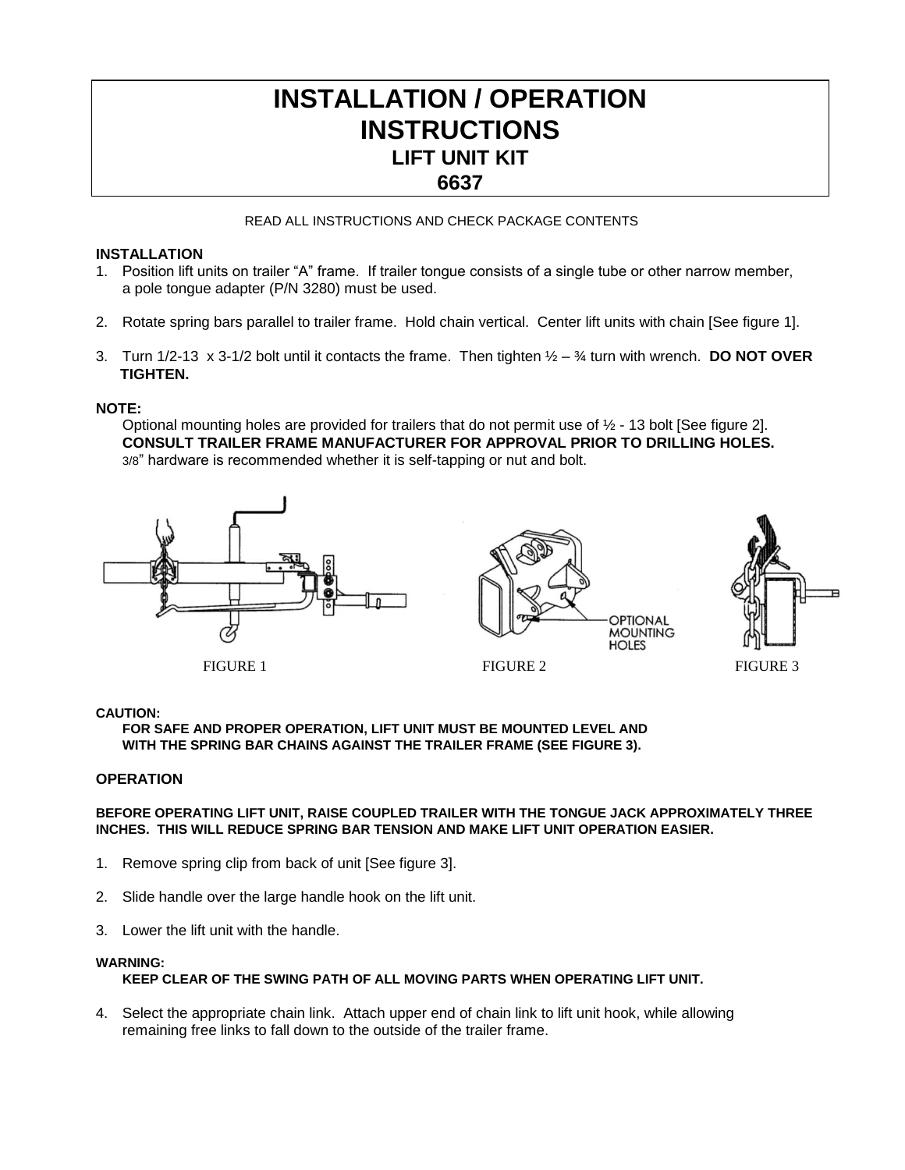# **INSTALLATION / OPERATION INSTRUCTIONS LIFT UNIT KIT 6637**

#### READ ALL INSTRUCTIONS AND CHECK PACKAGE CONTENTS

### **INSTALLATION**

- 1. Position lift units on trailer "A" frame. If trailer tongue consists of a single tube or other narrow member, a pole tongue adapter (P/N 3280) must be used.
- 2. Rotate spring bars parallel to trailer frame. Hold chain vertical. Center lift units with chain [See figure 1].
- 3. Turn 1/2-13 x 3-1/2 bolt until it contacts the frame. Then tighten ½ ¾ turn with wrench. **DO NOT OVER TIGHTEN.**

#### **NOTE:**

ī

Optional mounting holes are provided for trailers that do not permit use of ½ - 13 bolt [See figure 2]. **CONSULT TRAILER FRAME MANUFACTURER FOR APPROVAL PRIOR TO DRILLING HOLES.** 3/8" hardware is recommended whether it is self-tapping or nut and bolt.







FIGURE 1 FIGURE 2 FIGURE 3

#### **CAUTION:**

**FOR SAFE AND PROPER OPERATION, LIFT UNIT MUST BE MOUNTED LEVEL AND WITH THE SPRING BAR CHAINS AGAINST THE TRAILER FRAME (SEE FIGURE 3).** 

#### **OPERATION**

#### **BEFORE OPERATING LIFT UNIT, RAISE COUPLED TRAILER WITH THE TONGUE JACK APPROXIMATELY THREE INCHES. THIS WILL REDUCE SPRING BAR TENSION AND MAKE LIFT UNIT OPERATION EASIER.**

- 1. Remove spring clip from back of unit [See figure 3].
- 2. Slide handle over the large handle hook on the lift unit.
- 3. Lower the lift unit with the handle.

#### **WARNING:**

## **KEEP CLEAR OF THE SWING PATH OF ALL MOVING PARTS WHEN OPERATING LIFT UNIT.**

4. Select the appropriate chain link. Attach upper end of chain link to lift unit hook, while allowing remaining free links to fall down to the outside of the trailer frame.